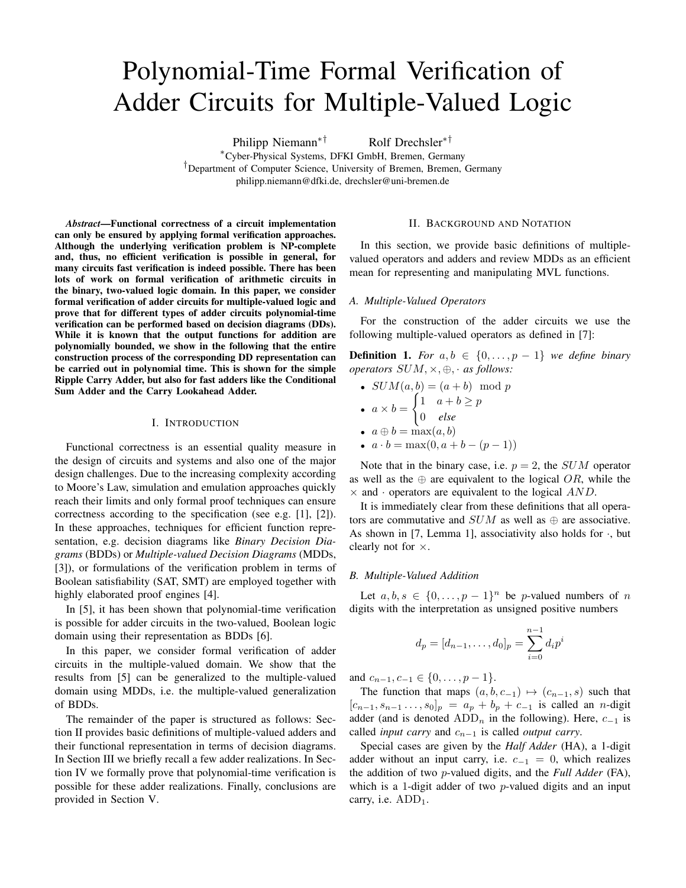# Polynomial-Time Formal Verification of Adder Circuits for Multiple-Valued Logic

Philipp Niemann<sup>∗†</sup> Rolf Drechsler<sup>∗†</sup>

<sup>∗</sup>Cyber-Physical Systems, DFKI GmbH, Bremen, Germany †Department of Computer Science, University of Bremen, Bremen, Germany philipp.niemann@dfki.de, drechsler@uni-bremen.de

*Abstract*—Functional correctness of a circuit implementation can only be ensured by applying formal verification approaches. Although the underlying verification problem is NP-complete and, thus, no efficient verification is possible in general, for many circuits fast verification is indeed possible. There has been lots of work on formal verification of arithmetic circuits in the binary, two-valued logic domain. In this paper, we consider formal verification of adder circuits for multiple-valued logic and prove that for different types of adder circuits polynomial-time verification can be performed based on decision diagrams (DDs). While it is known that the output functions for addition are polynomially bounded, we show in the following that the entire construction process of the corresponding DD representation can be carried out in polynomial time. This is shown for the simple Ripple Carry Adder, but also for fast adders like the Conditional Sum Adder and the Carry Lookahead Adder.

#### I. INTRODUCTION

Functional correctness is an essential quality measure in the design of circuits and systems and also one of the major design challenges. Due to the increasing complexity according to Moore's Law, simulation and emulation approaches quickly reach their limits and only formal proof techniques can ensure correctness according to the specification (see e.g. [1], [2]). In these approaches, techniques for efficient function representation, e.g. decision diagrams like *Binary Decision Diagrams* (BDDs) or *Multiple-valued Decision Diagrams* (MDDs, [3]), or formulations of the verification problem in terms of Boolean satisfiability (SAT, SMT) are employed together with highly elaborated proof engines [4].

In [5], it has been shown that polynomial-time verification is possible for adder circuits in the two-valued, Boolean logic domain using their representation as BDDs [6].

In this paper, we consider formal verification of adder circuits in the multiple-valued domain. We show that the results from [5] can be generalized to the multiple-valued domain using MDDs, i.e. the multiple-valued generalization of BDDs.

The remainder of the paper is structured as follows: Section II provides basic definitions of multiple-valued adders and their functional representation in terms of decision diagrams. In Section III we briefly recall a few adder realizations. In Section IV we formally prove that polynomial-time verification is possible for these adder realizations. Finally, conclusions are provided in Section V.

#### II. BACKGROUND AND NOTATION

In this section, we provide basic definitions of multiplevalued operators and adders and review MDDs as an efficient mean for representing and manipulating MVL functions.

#### *A. Multiple-Valued Operators*

For the construction of the adder circuits we use the following multiple-valued operators as defined in [7]:

**Definition 1.** For  $a, b \in \{0, \ldots, p-1\}$  we define binary *operators* SUM, ×, ⊕, · *as follows:*

- $SUM(a, b) = (a + b) \mod p$ •  $a \times b =$  $\begin{cases} 1 & a+b \geq p \end{cases}$ 0 *else*
- $a \oplus b = \max(a, b)$
- $a \cdot b = \max(0, a+b-(p-1))$

Note that in the binary case, i.e.  $p = 2$ , the *SUM* operator as well as the  $oplus$  are equivalent to the logical OR, while the  $\times$  and  $\cdot$  operators are equivalent to the logical AND.

It is immediately clear from these definitions that all operators are commutative and  $SUM$  as well as  $\oplus$  are associative. As shown in [7, Lemma 1], associativity also holds for  $\cdot$ , but clearly not for ×.

#### *B. Multiple-Valued Addition*

Let  $a, b, s \in \{0, ..., p-1\}^n$  be *p*-valued numbers of *n* digits with the interpretation as unsigned positive numbers

$$
d_p = [d_{n-1}, \dots, d_0]_p = \sum_{i=0}^{n-1} d_i p^i
$$

and  $c_{n-1}, c_{-1} \in \{0, \ldots, p-1\}.$ 

The function that maps  $(a, b, c_{-1}) \mapsto (c_{n-1}, s)$  such that  $[c_{n-1}, s_{n-1} \ldots, s_0]_p = a_p + b_p + c_{-1}$  is called an *n*-digit adder (and is denoted ADD<sub>n</sub> in the following). Here,  $c_{-1}$  is called *input carry* and  $c_{n-1}$  is called *output carry*.

Special cases are given by the *Half Adder* (HA), a 1-digit adder without an input carry, i.e.  $c_{-1} = 0$ , which realizes the addition of two p-valued digits, and the *Full Adder* (FA), which is a 1-digit adder of two  $p$ -valued digits and an input carry, i.e.  $ADD_1$ .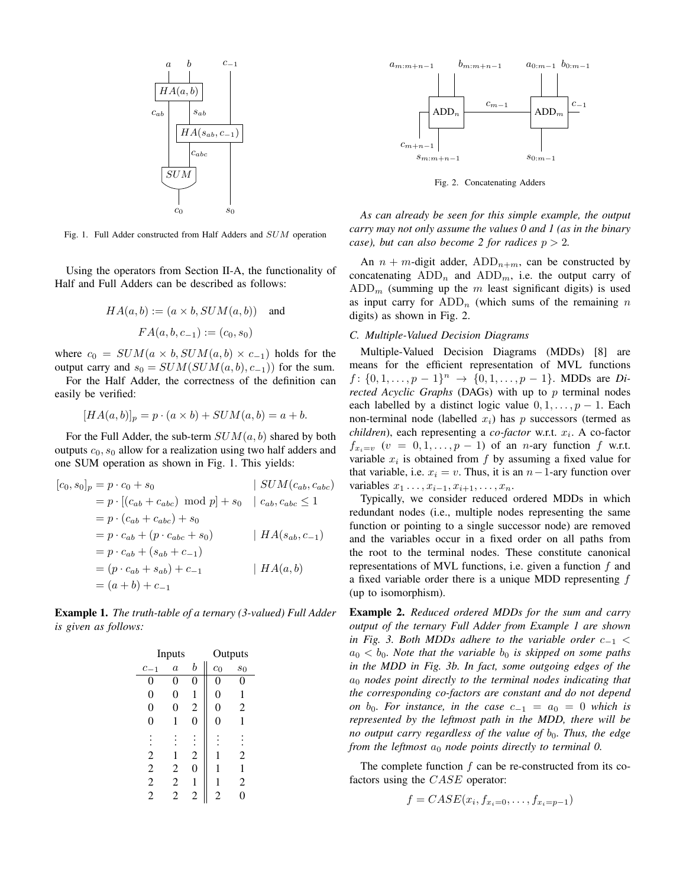

Fig. 1. Full Adder constructed from Half Adders and SUM operation

Using the operators from Section II-A, the functionality of Half and Full Adders can be described as follows:

$$
HA(a, b) := (a \times b, SUM(a, b))
$$
 and  
 $FA(a, b, c_{-1}) := (c_0, s_0)$ 

where  $c_0 = SUM(a \times b, SUM(a, b) \times c_{-1})$  holds for the output carry and  $s_0 = SUM(SUM(a, b), c_{-1}))$  for the sum.

For the Half Adder, the correctness of the definition can easily be verified:

$$
[HA(a,b)]_p = p \cdot (a \times b) + SUM(a,b) = a + b.
$$

For the Full Adder, the sub-term  $SUM(a, b)$  shared by both outputs  $c_0$ ,  $s_0$  allow for a realization using two half adders and one SUM operation as shown in Fig. 1. This yields:

$$
[c_0, s_0]_p = p \cdot c_0 + s_0 \t | SUM(c_{ab}, c_{abc})
$$
  
\n
$$
= p \cdot [(c_{ab} + c_{abc}) \mod p] + s_0 \t | c_{ab}, c_{abc} \le 1
$$
  
\n
$$
= p \cdot (c_{ab} + c_{abc}) + s_0
$$
  
\n
$$
= p \cdot c_{ab} + (p \cdot c_{abc} + s_0) \t | HA(s_{ab}, c_{-1})
$$
  
\n
$$
= p \cdot c_{ab} + (s_{ab} + c_{-1})
$$
  
\n
$$
= (p \cdot c_{ab} + s_{ab}) + c_{-1} \t | HA(a, b)
$$
  
\n
$$
= (a + b) + c_{-1}
$$

Example 1. *The truth-table of a ternary (3-valued) Full Adder is given as follows:*

| Inputs         |                  |                  | Outputs        |                |
|----------------|------------------|------------------|----------------|----------------|
| $c_{-1}$       | $\boldsymbol{a}$ | b                | $c_0$          | $s_0$          |
| 0              | 0                | 0                | 0              | 0              |
| 0              | 0                | 1                | 0              | 1              |
| 0              | 0                | $\overline{c}$   | 0              | 2              |
| 0              | 1                | $\boldsymbol{0}$ | 0              | 1              |
|                |                  |                  |                |                |
| $\overline{c}$ | 1                | $\overline{c}$   | 1              | 2              |
| $\overline{c}$ | 2                | 0                | 1              | 1              |
| $\overline{c}$ | $\overline{c}$   | 1                | 1              | $\overline{c}$ |
| $\overline{2}$ | $\overline{2}$   | $\overline{c}$   | $\overline{c}$ | D              |



Fig. 2. Concatenating Adders

*As can already be seen for this simple example, the output carry may not only assume the values 0 and 1 (as in the binary case*), but can also become 2 for radices  $p > 2$ .

An  $n + m$ -digit adder, ADD<sub>n+m</sub>, can be constructed by concatenating  $ADD_n$  and  $ADD_m$ , i.e. the output carry of  $ADD<sub>m</sub>$  (summing up the m least significant digits) is used as input carry for  $ADD_n$  (which sums of the remaining n digits) as shown in Fig. 2.

#### *C. Multiple-Valued Decision Diagrams*

Multiple-Valued Decision Diagrams (MDDs) [8] are means for the efficient representation of MVL functions  $f: \{0, 1, \ldots, p-1\}^n \rightarrow \{0, 1, \ldots, p-1\}.$  MDDs are *Directed Acyclic Graphs* (DAGs) with up to p terminal nodes each labelled by a distinct logic value  $0, 1, \ldots, p - 1$ . Each non-terminal node (labelled  $x_i$ ) has p successors (termed as  $children$ ), each representing a *co-factor* w.r.t.  $x_i$ . A co-factor  $f_{x_i=v}$   $(v = 0, 1, \ldots, p-1)$  of an *n*-ary function f w.r.t. variable  $x_i$  is obtained from f by assuming a fixed value for that variable, i.e.  $x_i = v$ . Thus, it is an  $n-1$ -ary function over variables  $x_1 \ldots, x_{i-1}, x_{i+1}, \ldots, x_n$ .

Typically, we consider reduced ordered MDDs in which redundant nodes (i.e., multiple nodes representing the same function or pointing to a single successor node) are removed and the variables occur in a fixed order on all paths from the root to the terminal nodes. These constitute canonical representations of MVL functions, i.e. given a function  $f$  and a fixed variable order there is a unique MDD representing f (up to isomorphism).

Example 2. *Reduced ordered MDDs for the sum and carry output of the ternary Full Adder from Example 1 are shown in Fig. 3. Both MDDs adhere to the variable order*  $c_{-1}$  <  $a_0 < b_0$ . Note that the variable  $b_0$  is skipped on some paths *in the MDD in Fig. 3b. In fact, some outgoing edges of the* a<sup>0</sup> *nodes point directly to the terminal nodes indicating that the corresponding co-factors are constant and do not depend on*  $b_0$ *. For instance, in the case*  $c_{-1} = a_0 = 0$  *which is represented by the leftmost path in the MDD, there will be no output carry regardless of the value of*  $b_0$ *. Thus, the edge from the leftmost*  $a_0$  *node points directly to terminal 0.* 

The complete function  $f$  can be re-constructed from its cofactors using the  $CASE$  operator:

$$
f = CASE(x_i, f_{x_i=0}, \ldots, f_{x_i=p-1})
$$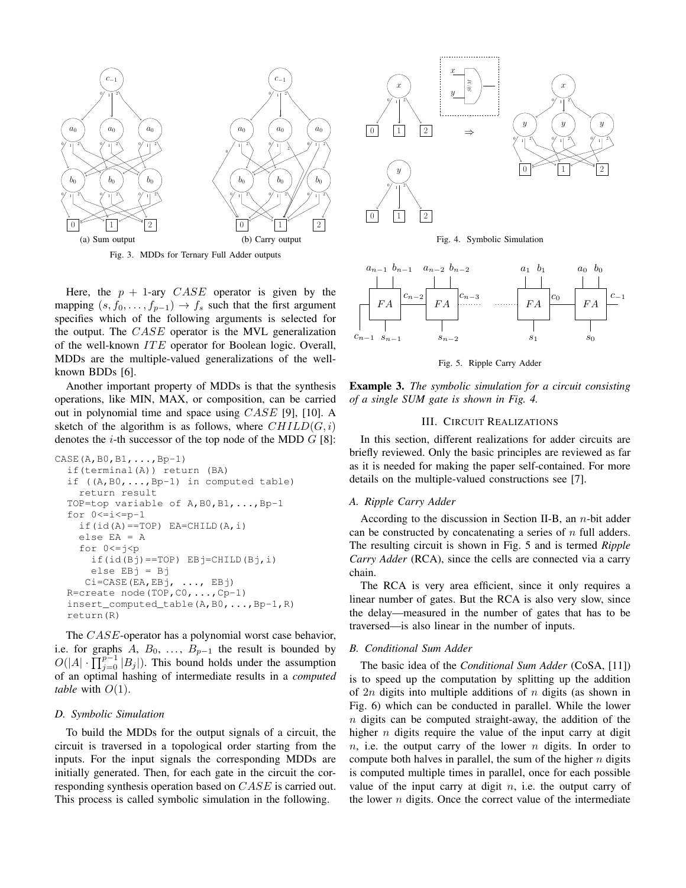

Fig. 3. MDDs for Ternary Full Adder outputs

Here, the  $p + 1$ -ary  $CASE$  operator is given by the mapping  $(s, f_0, \ldots, f_{p-1}) \rightarrow f_s$  such that the first argument specifies which of the following arguments is selected for the output. The CASE operator is the MVL generalization of the well-known  $ITE$  operator for Boolean logic. Overall, MDDs are the multiple-valued generalizations of the wellknown BDDs [6].

Another important property of MDDs is that the synthesis operations, like MIN, MAX, or composition, can be carried out in polynomial time and space using CASE [9], [10]. A sketch of the algorithm is as follows, where  $CHILD(G, i)$ denotes the  $i$ -th successor of the top node of the MDD  $G$  [8]:

```
CASE(A, B0, B1, \ldots, Bp-1)if(terminal(A)) return (BA)
if ((A, B0, \ldots, Bp-1) in computed table)
  return result
TOP=top variable of A,B0,B1,...,Bp-1
for 0 \le i \le p-1if(id(A) == TOP) E A = CHILD(A, i)else EA = A
  for 0 \leq i \leq pif(id(Bj) == TOP) EBj=CHILD(Bj, i)else EBj = Bj
   Ci=CASE(EA,EBj, ..., EBj)
R=create node(TOP,C0,...,Cp-1)
insert_computed_table(A,B0,...,Bp-1,R)
return(R)
```
The *CASE*-operator has a polynomial worst case behavior, i.e. for graphs A,  $B_0$ , ...,  $B_{p-1}$  the result is bounded by  $O(|A| \cdot \prod_{j=0}^{p-1} |B_j|)$ . This bound holds under the assumption of an optimal hashing of intermediate results in a *computed table* with  $O(1)$ .

#### *D. Symbolic Simulation*

To build the MDDs for the output signals of a circuit, the circuit is traversed in a topological order starting from the inputs. For the input signals the corresponding MDDs are initially generated. Then, for each gate in the circuit the corresponding synthesis operation based on CASE is carried out. This process is called symbolic simulation in the following.



Fig. 4. Symbolic Simulation



Fig. 5. Ripple Carry Adder

Example 3. *The symbolic simulation for a circuit consisting of a single SUM gate is shown in Fig. 4.*

# III. CIRCUIT REALIZATIONS

In this section, different realizations for adder circuits are briefly reviewed. Only the basic principles are reviewed as far as it is needed for making the paper self-contained. For more details on the multiple-valued constructions see [7].

#### *A. Ripple Carry Adder*

According to the discussion in Section II-B, an n-bit adder can be constructed by concatenating a series of  $n$  full adders. The resulting circuit is shown in Fig. 5 and is termed *Ripple Carry Adder* (RCA), since the cells are connected via a carry chain.

The RCA is very area efficient, since it only requires a linear number of gates. But the RCA is also very slow, since the delay—measured in the number of gates that has to be traversed—is also linear in the number of inputs.

# *B. Conditional Sum Adder*

The basic idea of the *Conditional Sum Adder* (CoSA, [11]) is to speed up the computation by splitting up the addition of  $2n$  digits into multiple additions of n digits (as shown in Fig. 6) which can be conducted in parallel. While the lower  $n$  digits can be computed straight-away, the addition of the higher  $n$  digits require the value of the input carry at digit  $n$ , i.e. the output carry of the lower  $n$  digits. In order to compute both halves in parallel, the sum of the higher  $n$  digits is computed multiple times in parallel, once for each possible value of the input carry at digit  $n$ , i.e. the output carry of the lower  $n$  digits. Once the correct value of the intermediate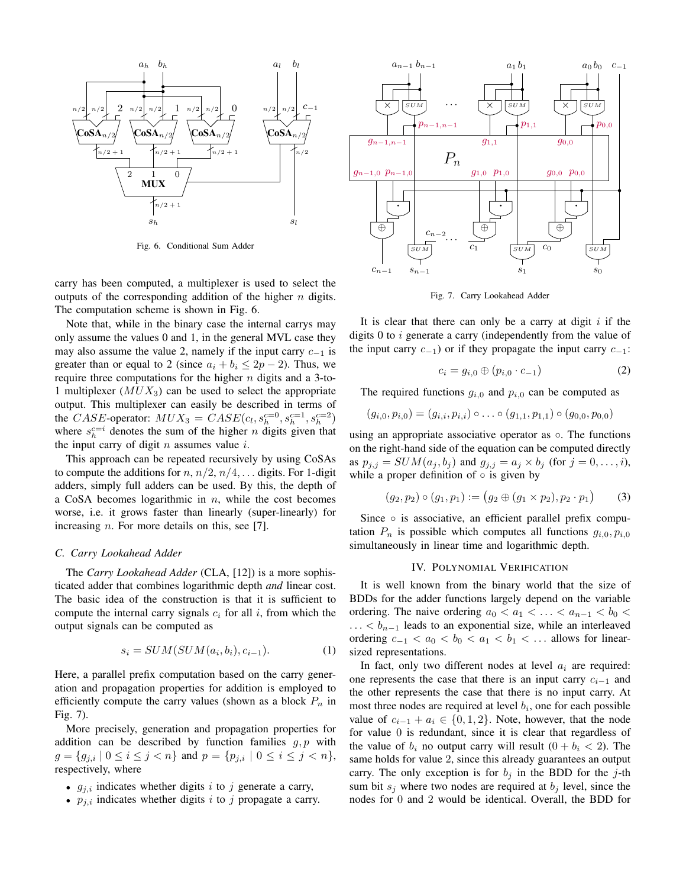

Fig. 6. Conditional Sum Adder

carry has been computed, a multiplexer is used to select the outputs of the corresponding addition of the higher  $n$  digits. The computation scheme is shown in Fig. 6.

Note that, while in the binary case the internal carrys may only assume the values 0 and 1, in the general MVL case they may also assume the value 2, namely if the input carry  $c_{-1}$  is greater than or equal to 2 (since  $a_i + b_i \leq 2p - 2$ ). Thus, we require three computations for the higher  $n$  digits and a 3-to-1 multiplexer  $(MUX_3)$  can be used to select the appropriate output. This multiplexer can easily be described in terms of the *CASE*-operator:  $MUX_3 = CASE(c_l, s_h^{c=0}, s_h^{c=1}, s_h^{c=2})$ where  $s_h^{c=i}$  denotes the sum of the higher *n* digits given that the input carry of digit  $n$  assumes value  $i$ .

This approach can be repeated recursively by using CoSAs to compute the additions for  $n, n/2, n/4, \ldots$  digits. For 1-digit adders, simply full adders can be used. By this, the depth of a CoSA becomes logarithmic in  $n$ , while the cost becomes worse, i.e. it grows faster than linearly (super-linearly) for increasing *n*. For more details on this, see [7].

#### *C. Carry Lookahead Adder*

The *Carry Lookahead Adder* (CLA, [12]) is a more sophisticated adder that combines logarithmic depth *and* linear cost. The basic idea of the construction is that it is sufficient to compute the internal carry signals  $c_i$  for all i, from which the output signals can be computed as

$$
s_i = SUM(SUM(a_i, b_i), c_{i-1}).
$$
\n<sup>(1)</sup>

Here, a parallel prefix computation based on the carry generation and propagation properties for addition is employed to efficiently compute the carry values (shown as a block  $P_n$  in Fig. 7).

More precisely, generation and propagation properties for addition can be described by function families  $q, p$  with  $g = \{g_{j,i} \mid 0 \le i \le j < n\}$  and  $p = \{p_{j,i} \mid 0 \le i \le j < n\},$ respectively, where

- $g_{i,i}$  indicates whether digits i to j generate a carry,
- $p_{j,i}$  indicates whether digits i to j propagate a carry.



Fig. 7. Carry Lookahead Adder

It is clear that there can only be a carry at digit  $i$  if the digits  $0$  to  $i$  generate a carry (independently from the value of the input carry  $c_{-1}$ ) or if they propagate the input carry  $c_{-1}$ :

$$
c_i = g_{i,0} \oplus (p_{i,0} \cdot c_{-1})
$$
 (2)

The required functions  $g_{i,0}$  and  $p_{i,0}$  can be computed as

$$
(g_{i,0}, p_{i,0}) = (g_{i,i}, p_{i,i}) \circ \ldots \circ (g_{1,1}, p_{1,1}) \circ (g_{0,0}, p_{0,0})
$$

using an appropriate associative operator as  $\circ$ . The functions on the right-hand side of the equation can be computed directly as  $p_{j,j} = SUM(a_j, b_j)$  and  $g_{j,j} = a_j \times b_j$  (for  $j = 0, \ldots, i$ ), while a proper definition of  $\circ$  is given by

$$
(g_2, p_2) \circ (g_1, p_1) := (g_2 \oplus (g_1 \times p_2), p_2 \cdot p_1) \tag{3}
$$

Since ∘ is associative, an efficient parallel prefix computation  $P_n$  is possible which computes all functions  $g_{i,0}, p_{i,0}$ simultaneously in linear time and logarithmic depth.

#### IV. POLYNOMIAL VERIFICATION

It is well known from the binary world that the size of BDDs for the adder functions largely depend on the variable ordering. The naive ordering  $a_0 < a_1 < \ldots < a_{n-1} < b_0 <$  $\dots < b_{n-1}$  leads to an exponential size, while an interleaved ordering  $c_{-1} < a_0 < b_0 < a_1 < b_1 < \dots$  allows for linearsized representations.

In fact, only two different nodes at level  $a_i$  are required: one represents the case that there is an input carry  $c_{i-1}$  and the other represents the case that there is no input carry. At most three nodes are required at level  $b_i$ , one for each possible value of  $c_{i-1} + a_i \in \{0, 1, 2\}$ . Note, however, that the node for value 0 is redundant, since it is clear that regardless of the value of  $b_i$  no output carry will result  $(0 + b_i < 2)$ . The same holds for value 2, since this already guarantees an output carry. The only exception is for  $b_i$  in the BDD for the j-th sum bit  $s_i$  where two nodes are required at  $b_i$  level, since the nodes for 0 and 2 would be identical. Overall, the BDD for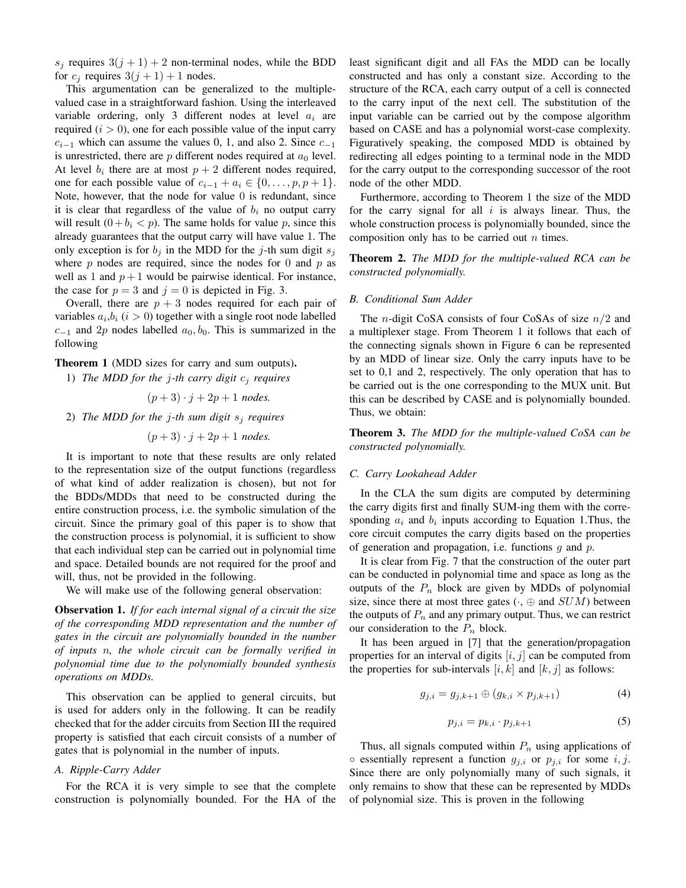$s_j$  requires  $3(j + 1) + 2$  non-terminal nodes, while the BDD for  $c_j$  requires  $3(j + 1) + 1$  nodes.

This argumentation can be generalized to the multiplevalued case in a straightforward fashion. Using the interleaved variable ordering, only 3 different nodes at level  $a_i$  are required  $(i > 0)$ , one for each possible value of the input carry  $c_{i-1}$  which can assume the values 0, 1, and also 2. Since  $c_{-1}$ is unrestricted, there are p different nodes required at  $a_0$  level. At level  $b_i$  there are at most  $p + 2$  different nodes required, one for each possible value of  $c_{i-1} + a_i \in \{0, \ldots, p, p+1\}.$ Note, however, that the node for value  $0$  is redundant, since it is clear that regardless of the value of  $b_i$  no output carry will result  $(0 + b_i < p)$ . The same holds for value p, since this already guarantees that the output carry will have value 1. The only exception is for  $b_i$  in the MDD for the j-th sum digit  $s_i$ where  $p$  nodes are required, since the nodes for 0 and  $p$  as well as 1 and  $p + 1$  would be pairwise identical. For instance, the case for  $p = 3$  and  $j = 0$  is depicted in Fig. 3.

Overall, there are  $p + 3$  nodes required for each pair of variables  $a_i, b_i$  ( $i > 0$ ) together with a single root node labelled  $c_{-1}$  and 2p nodes labelled  $a_0, b_0$ . This is summarized in the following

Theorem 1 (MDD sizes for carry and sum outputs).

1) *The MDD for the j-th carry digit*  $c_i$  *requires* 

 $(p+3) \cdot j + 2p + 1$  *nodes.* 

2) *The MDD for the* j*-th sum digit* s<sup>j</sup> *requires*

 $(p+3) \cdot j + 2p + 1$  *nodes.* 

It is important to note that these results are only related to the representation size of the output functions (regardless of what kind of adder realization is chosen), but not for the BDDs/MDDs that need to be constructed during the entire construction process, i.e. the symbolic simulation of the circuit. Since the primary goal of this paper is to show that the construction process is polynomial, it is sufficient to show that each individual step can be carried out in polynomial time and space. Detailed bounds are not required for the proof and will, thus, not be provided in the following.

We will make use of the following general observation:

Observation 1. *If for each internal signal of a circuit the size of the corresponding MDD representation and the number of gates in the circuit are polynomially bounded in the number of inputs* n*, the whole circuit can be formally verified in polynomial time due to the polynomially bounded synthesis operations on MDDs.*

This observation can be applied to general circuits, but is used for adders only in the following. It can be readily checked that for the adder circuits from Section III the required property is satisfied that each circuit consists of a number of gates that is polynomial in the number of inputs.

# *A. Ripple-Carry Adder*

For the RCA it is very simple to see that the complete construction is polynomially bounded. For the HA of the least significant digit and all FAs the MDD can be locally constructed and has only a constant size. According to the structure of the RCA, each carry output of a cell is connected to the carry input of the next cell. The substitution of the input variable can be carried out by the compose algorithm based on CASE and has a polynomial worst-case complexity. Figuratively speaking, the composed MDD is obtained by redirecting all edges pointing to a terminal node in the MDD for the carry output to the corresponding successor of the root node of the other MDD.

Furthermore, according to Theorem 1 the size of the MDD for the carry signal for all  $i$  is always linear. Thus, the whole construction process is polynomially bounded, since the composition only has to be carried out  $n$  times.

Theorem 2. *The MDD for the multiple-valued RCA can be constructed polynomially.*

## *B. Conditional Sum Adder*

The *n*-digit CoSA consists of four CoSAs of size  $n/2$  and a multiplexer stage. From Theorem 1 it follows that each of the connecting signals shown in Figure 6 can be represented by an MDD of linear size. Only the carry inputs have to be set to 0,1 and 2, respectively. The only operation that has to be carried out is the one corresponding to the MUX unit. But this can be described by CASE and is polynomially bounded. Thus, we obtain:

Theorem 3. *The MDD for the multiple-valued CoSA can be constructed polynomially.*

## *C. Carry Lookahead Adder*

In the CLA the sum digits are computed by determining the carry digits first and finally SUM-ing them with the corresponding  $a_i$  and  $b_i$  inputs according to Equation 1. Thus, the core circuit computes the carry digits based on the properties of generation and propagation, i.e. functions  $q$  and  $p$ .

It is clear from Fig. 7 that the construction of the outer part can be conducted in polynomial time and space as long as the outputs of the  $P_n$  block are given by MDDs of polynomial size, since there at most three gates  $(·, ⊕$  and  $SUM$ ) between the outputs of  $P_n$  and any primary output. Thus, we can restrict our consideration to the  $P_n$  block.

It has been argued in [7] that the generation/propagation properties for an interval of digits  $[i, j]$  can be computed from the properties for sub-intervals  $[i, k]$  and  $[k, j]$  as follows:

$$
g_{j,i} = g_{j,k+1} \oplus (g_{k,i} \times p_{j,k+1})
$$
 (4)

$$
p_{j,i} = p_{k,i} \cdot p_{j,k+1} \tag{5}
$$

Thus, all signals computed within  $P_n$  using applications of  $\circ$  essentially represent a function  $q_{i,i}$  or  $p_{i,i}$  for some  $i, j$ . Since there are only polynomially many of such signals, it only remains to show that these can be represented by MDDs of polynomial size. This is proven in the following